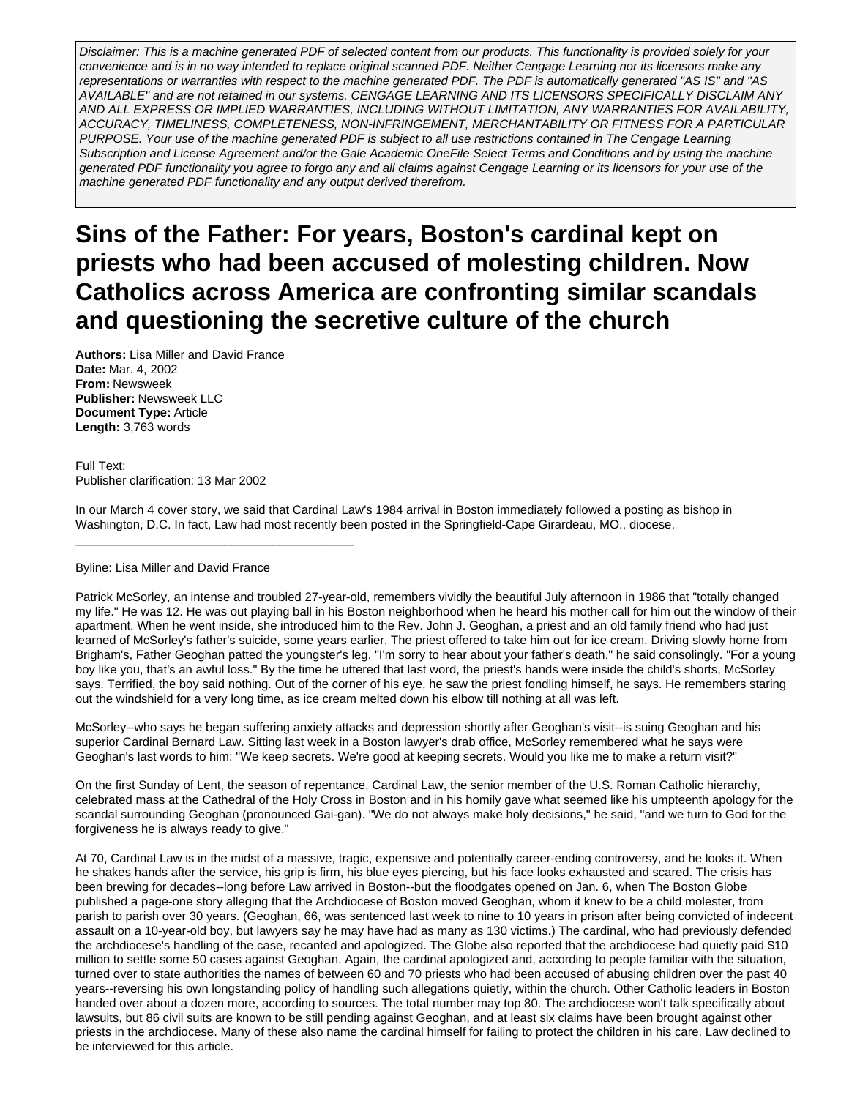Disclaimer: This is a machine generated PDF of selected content from our products. This functionality is provided solely for your convenience and is in no way intended to replace original scanned PDF. Neither Cengage Learning nor its licensors make any representations or warranties with respect to the machine generated PDF. The PDF is automatically generated "AS IS" and "AS AVAILABLE" and are not retained in our systems. CENGAGE LEARNING AND ITS LICENSORS SPECIFICALLY DISCLAIM ANY AND ALL EXPRESS OR IMPLIED WARRANTIES, INCLUDING WITHOUT LIMITATION, ANY WARRANTIES FOR AVAILABILITY, ACCURACY, TIMELINESS, COMPLETENESS, NON-INFRINGEMENT, MERCHANTABILITY OR FITNESS FOR A PARTICULAR PURPOSE. Your use of the machine generated PDF is subject to all use restrictions contained in The Cengage Learning Subscription and License Agreement and/or the Gale Academic OneFile Select Terms and Conditions and by using the machine generated PDF functionality you agree to forgo any and all claims against Cengage Learning or its licensors for your use of the machine generated PDF functionality and any output derived therefrom.

# **Sins of the Father: For years, Boston's cardinal kept on priests who had been accused of molesting children. Now Catholics across America are confronting similar scandals and questioning the secretive culture of the church**

**Authors:** Lisa Miller and David France **Date:** Mar. 4, 2002 **From:** Newsweek **Publisher:** Newsweek LLC **Document Type:** Article **Length:** 3,763 words

Full Text: Publisher clarification: 13 Mar 2002

In our March 4 cover story, we said that Cardinal Law's 1984 arrival in Boston immediately followed a posting as bishop in Washington, D.C. In fact, Law had most recently been posted in the Springfield-Cape Girardeau, MO., diocese.

## Byline: Lisa Miller and David France

\_\_\_\_\_\_\_\_\_\_\_\_\_\_\_\_\_\_\_\_\_\_\_\_\_\_\_\_\_\_\_\_\_\_\_\_\_\_\_\_\_

Patrick McSorley, an intense and troubled 27-year-old, remembers vividly the beautiful July afternoon in 1986 that "totally changed my life." He was 12. He was out playing ball in his Boston neighborhood when he heard his mother call for him out the window of their apartment. When he went inside, she introduced him to the Rev. John J. Geoghan, a priest and an old family friend who had just learned of McSorley's father's suicide, some years earlier. The priest offered to take him out for ice cream. Driving slowly home from Brigham's, Father Geoghan patted the youngster's leg. "I'm sorry to hear about your father's death," he said consolingly. "For a young boy like you, that's an awful loss." By the time he uttered that last word, the priest's hands were inside the child's shorts, McSorley says. Terrified, the boy said nothing. Out of the corner of his eye, he saw the priest fondling himself, he says. He remembers staring out the windshield for a very long time, as ice cream melted down his elbow till nothing at all was left.

McSorley--who says he began suffering anxiety attacks and depression shortly after Geoghan's visit--is suing Geoghan and his superior Cardinal Bernard Law. Sitting last week in a Boston lawyer's drab office, McSorley remembered what he says were Geoghan's last words to him: "We keep secrets. We're good at keeping secrets. Would you like me to make a return visit?"

On the first Sunday of Lent, the season of repentance, Cardinal Law, the senior member of the U.S. Roman Catholic hierarchy, celebrated mass at the Cathedral of the Holy Cross in Boston and in his homily gave what seemed like his umpteenth apology for the scandal surrounding Geoghan (pronounced Gai-gan). "We do not always make holy decisions," he said, "and we turn to God for the forgiveness he is always ready to give."

At 70, Cardinal Law is in the midst of a massive, tragic, expensive and potentially career-ending controversy, and he looks it. When he shakes hands after the service, his grip is firm, his blue eyes piercing, but his face looks exhausted and scared. The crisis has been brewing for decades--long before Law arrived in Boston--but the floodgates opened on Jan. 6, when The Boston Globe published a page-one story alleging that the Archdiocese of Boston moved Geoghan, whom it knew to be a child molester, from parish to parish over 30 years. (Geoghan, 66, was sentenced last week to nine to 10 years in prison after being convicted of indecent assault on a 10-year-old boy, but lawyers say he may have had as many as 130 victims.) The cardinal, who had previously defended the archdiocese's handling of the case, recanted and apologized. The Globe also reported that the archdiocese had quietly paid \$10 million to settle some 50 cases against Geoghan. Again, the cardinal apologized and, according to people familiar with the situation, turned over to state authorities the names of between 60 and 70 priests who had been accused of abusing children over the past 40 years--reversing his own longstanding policy of handling such allegations quietly, within the church. Other Catholic leaders in Boston handed over about a dozen more, according to sources. The total number may top 80. The archdiocese won't talk specifically about lawsuits, but 86 civil suits are known to be still pending against Geoghan, and at least six claims have been brought against other priests in the archdiocese. Many of these also name the cardinal himself for failing to protect the children in his care. Law declined to be interviewed for this article.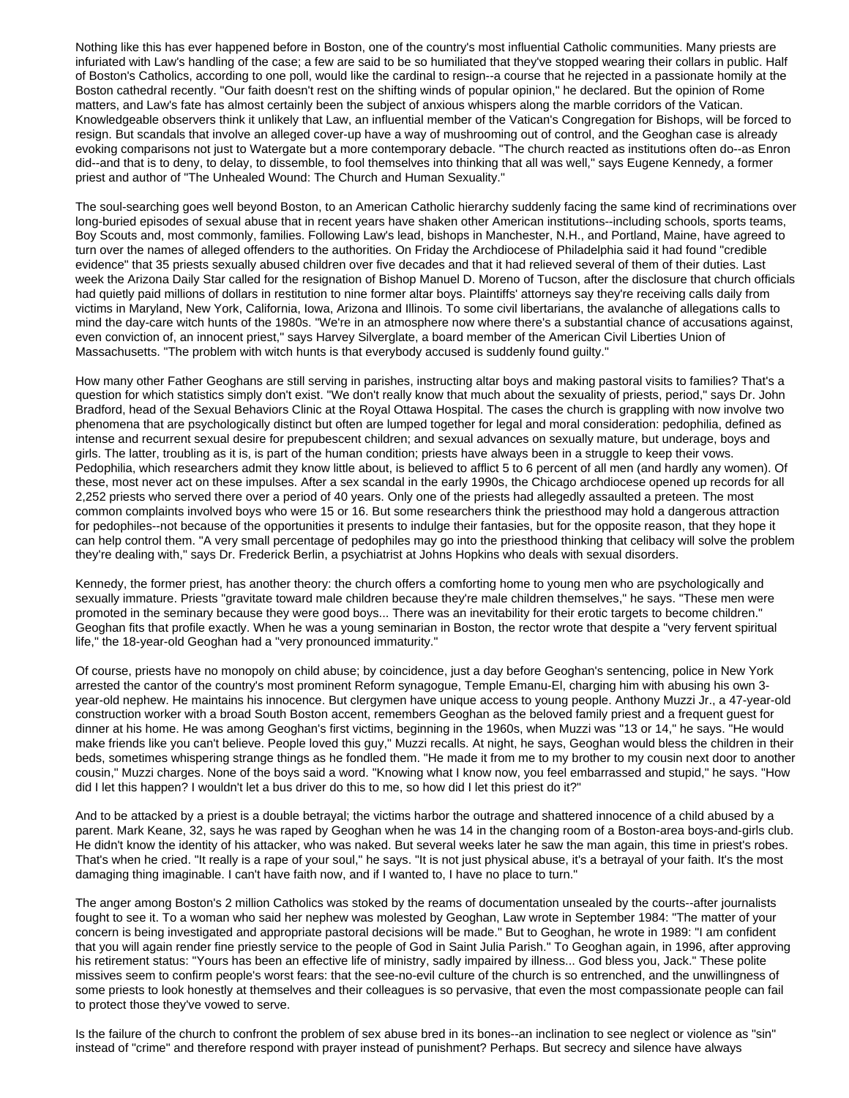Nothing like this has ever happened before in Boston, one of the country's most influential Catholic communities. Many priests are infuriated with Law's handling of the case; a few are said to be so humiliated that they've stopped wearing their collars in public. Half of Boston's Catholics, according to one poll, would like the cardinal to resign--a course that he rejected in a passionate homily at the Boston cathedral recently. "Our faith doesn't rest on the shifting winds of popular opinion," he declared. But the opinion of Rome matters, and Law's fate has almost certainly been the subject of anxious whispers along the marble corridors of the Vatican. Knowledgeable observers think it unlikely that Law, an influential member of the Vatican's Congregation for Bishops, will be forced to resign. But scandals that involve an alleged cover-up have a way of mushrooming out of control, and the Geoghan case is already evoking comparisons not just to Watergate but a more contemporary debacle. "The church reacted as institutions often do--as Enron did--and that is to deny, to delay, to dissemble, to fool themselves into thinking that all was well," says Eugene Kennedy, a former priest and author of "The Unhealed Wound: The Church and Human Sexuality."

The soul-searching goes well beyond Boston, to an American Catholic hierarchy suddenly facing the same kind of recriminations over long-buried episodes of sexual abuse that in recent years have shaken other American institutions--including schools, sports teams, Boy Scouts and, most commonly, families. Following Law's lead, bishops in Manchester, N.H., and Portland, Maine, have agreed to turn over the names of alleged offenders to the authorities. On Friday the Archdiocese of Philadelphia said it had found "credible evidence" that 35 priests sexually abused children over five decades and that it had relieved several of them of their duties. Last week the Arizona Daily Star called for the resignation of Bishop Manuel D. Moreno of Tucson, after the disclosure that church officials had quietly paid millions of dollars in restitution to nine former altar boys. Plaintiffs' attorneys say they're receiving calls daily from victims in Maryland, New York, California, Iowa, Arizona and Illinois. To some civil libertarians, the avalanche of allegations calls to mind the day-care witch hunts of the 1980s. "We're in an atmosphere now where there's a substantial chance of accusations against, even conviction of, an innocent priest," says Harvey Silverglate, a board member of the American Civil Liberties Union of Massachusetts. "The problem with witch hunts is that everybody accused is suddenly found guilty."

How many other Father Geoghans are still serving in parishes, instructing altar boys and making pastoral visits to families? That's a question for which statistics simply don't exist. "We don't really know that much about the sexuality of priests, period," says Dr. John Bradford, head of the Sexual Behaviors Clinic at the Royal Ottawa Hospital. The cases the church is grappling with now involve two phenomena that are psychologically distinct but often are lumped together for legal and moral consideration: pedophilia, defined as intense and recurrent sexual desire for prepubescent children; and sexual advances on sexually mature, but underage, boys and girls. The latter, troubling as it is, is part of the human condition; priests have always been in a struggle to keep their vows. Pedophilia, which researchers admit they know little about, is believed to afflict 5 to 6 percent of all men (and hardly any women). Of these, most never act on these impulses. After a sex scandal in the early 1990s, the Chicago archdiocese opened up records for all 2,252 priests who served there over a period of 40 years. Only one of the priests had allegedly assaulted a preteen. The most common complaints involved boys who were 15 or 16. But some researchers think the priesthood may hold a dangerous attraction for pedophiles--not because of the opportunities it presents to indulge their fantasies, but for the opposite reason, that they hope it can help control them. "A very small percentage of pedophiles may go into the priesthood thinking that celibacy will solve the problem they're dealing with," says Dr. Frederick Berlin, a psychiatrist at Johns Hopkins who deals with sexual disorders.

Kennedy, the former priest, has another theory: the church offers a comforting home to young men who are psychologically and sexually immature. Priests "gravitate toward male children because they're male children themselves," he says. "These men were promoted in the seminary because they were good boys... There was an inevitability for their erotic targets to become children." Geoghan fits that profile exactly. When he was a young seminarian in Boston, the rector wrote that despite a "very fervent spiritual life," the 18-year-old Geoghan had a "very pronounced immaturity."

Of course, priests have no monopoly on child abuse; by coincidence, just a day before Geoghan's sentencing, police in New York arrested the cantor of the country's most prominent Reform synagogue, Temple Emanu-El, charging him with abusing his own 3 year-old nephew. He maintains his innocence. But clergymen have unique access to young people. Anthony Muzzi Jr., a 47-year-old construction worker with a broad South Boston accent, remembers Geoghan as the beloved family priest and a frequent guest for dinner at his home. He was among Geoghan's first victims, beginning in the 1960s, when Muzzi was "13 or 14," he says. "He would make friends like you can't believe. People loved this guy," Muzzi recalls. At night, he says, Geoghan would bless the children in their beds, sometimes whispering strange things as he fondled them. "He made it from me to my brother to my cousin next door to another cousin," Muzzi charges. None of the boys said a word. "Knowing what I know now, you feel embarrassed and stupid," he says. "How did I let this happen? I wouldn't let a bus driver do this to me, so how did I let this priest do it?"

And to be attacked by a priest is a double betrayal; the victims harbor the outrage and shattered innocence of a child abused by a parent. Mark Keane, 32, says he was raped by Geoghan when he was 14 in the changing room of a Boston-area boys-and-girls club. He didn't know the identity of his attacker, who was naked. But several weeks later he saw the man again, this time in priest's robes. That's when he cried. "It really is a rape of your soul," he says. "It is not just physical abuse, it's a betrayal of your faith. It's the most damaging thing imaginable. I can't have faith now, and if I wanted to, I have no place to turn."

The anger among Boston's 2 million Catholics was stoked by the reams of documentation unsealed by the courts--after journalists fought to see it. To a woman who said her nephew was molested by Geoghan, Law wrote in September 1984: "The matter of your concern is being investigated and appropriate pastoral decisions will be made." But to Geoghan, he wrote in 1989: "I am confident that you will again render fine priestly service to the people of God in Saint Julia Parish." To Geoghan again, in 1996, after approving his retirement status: "Yours has been an effective life of ministry, sadly impaired by illness... God bless you, Jack." These polite missives seem to confirm people's worst fears: that the see-no-evil culture of the church is so entrenched, and the unwillingness of some priests to look honestly at themselves and their colleagues is so pervasive, that even the most compassionate people can fail to protect those they've vowed to serve.

Is the failure of the church to confront the problem of sex abuse bred in its bones--an inclination to see neglect or violence as "sin" instead of "crime" and therefore respond with prayer instead of punishment? Perhaps. But secrecy and silence have always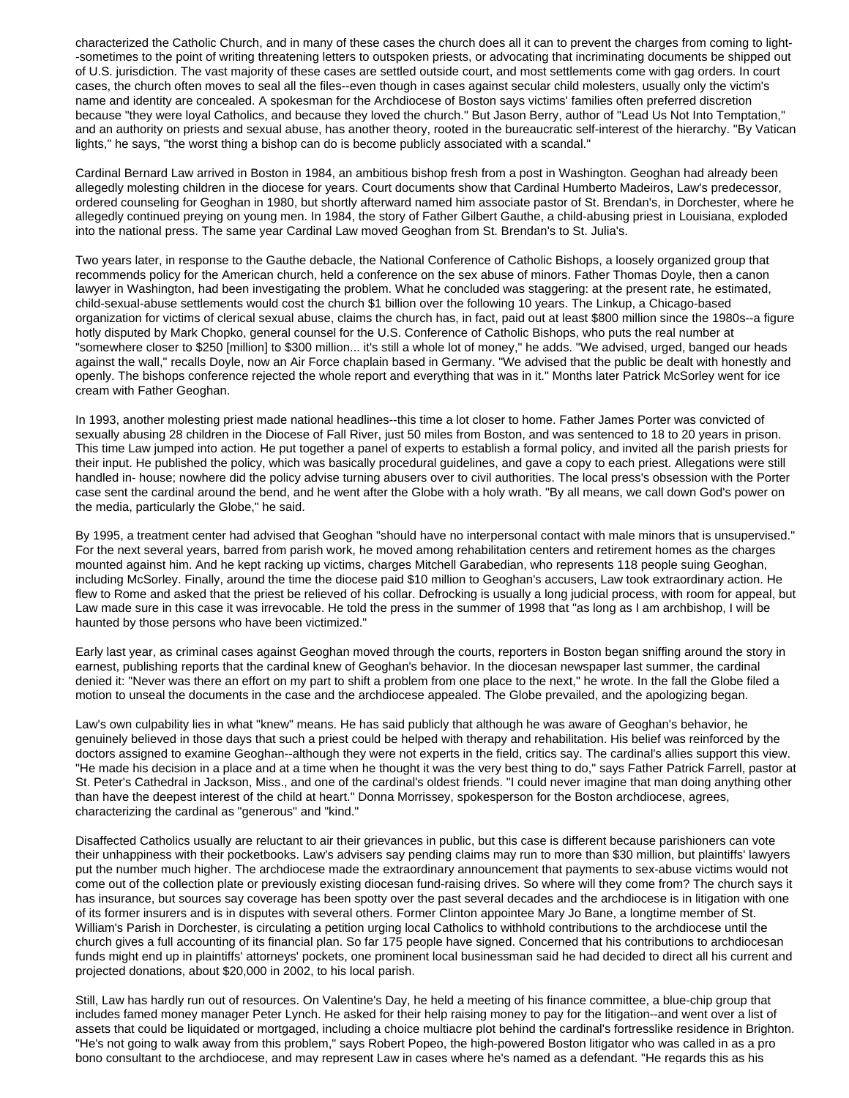characterized the Catholic Church, and in many of these cases the church does all it can to prevent the charges from coming to light- -sometimes to the point of writing threatening letters to outspoken priests, or advocating that incriminating documents be shipped out of U.S. jurisdiction. The vast majority of these cases are settled outside court, and most settlements come with gag orders. In court cases, the church often moves to seal all the files--even though in cases against secular child molesters, usually only the victim's name and identity are concealed. A spokesman for the Archdiocese of Boston says victims' families often preferred discretion because "they were loyal Catholics, and because they loved the church." But Jason Berry, author of "Lead Us Not Into Temptation," and an authority on priests and sexual abuse, has another theory, rooted in the bureaucratic self-interest of the hierarchy. "By Vatican lights," he says, "the worst thing a bishop can do is become publicly associated with a scandal."

Cardinal Bernard Law arrived in Boston in 1984, an ambitious bishop fresh from a post in Washington. Geoghan had already been allegedly molesting children in the diocese for years. Court documents show that Cardinal Humberto Madeiros, Law's predecessor, ordered counseling for Geoghan in 1980, but shortly afterward named him associate pastor of St. Brendan's, in Dorchester, where he allegedly continued preying on young men. In 1984, the story of Father Gilbert Gauthe, a child-abusing priest in Louisiana, exploded into the national press. The same year Cardinal Law moved Geoghan from St. Brendan's to St. Julia's.

Two years later, in response to the Gauthe debacle, the National Conference of Catholic Bishops, a loosely organized group that recommends policy for the American church, held a conference on the sex abuse of minors. Father Thomas Doyle, then a canon lawyer in Washington, had been investigating the problem. What he concluded was staggering: at the present rate, he estimated, child-sexual-abuse settlements would cost the church \$1 billion over the following 10 years. The Linkup, a Chicago-based organization for victims of clerical sexual abuse, claims the church has, in fact, paid out at least \$800 million since the 1980s--a figure hotly disputed by Mark Chopko, general counsel for the U.S. Conference of Catholic Bishops, who puts the real number at "somewhere closer to \$250 [million] to \$300 million... it's still a whole lot of money," he adds. "We advised, urged, banged our heads against the wall," recalls Doyle, now an Air Force chaplain based in Germany. "We advised that the public be dealt with honestly and openly. The bishops conference rejected the whole report and everything that was in it." Months later Patrick McSorley went for ice cream with Father Geoghan.

In 1993, another molesting priest made national headlines--this time a lot closer to home. Father James Porter was convicted of sexually abusing 28 children in the Diocese of Fall River, just 50 miles from Boston, and was sentenced to 18 to 20 years in prison. This time Law jumped into action. He put together a panel of experts to establish a formal policy, and invited all the parish priests for their input. He published the policy, which was basically procedural guidelines, and gave a copy to each priest. Allegations were still handled in- house; nowhere did the policy advise turning abusers over to civil authorities. The local press's obsession with the Porter case sent the cardinal around the bend, and he went after the Globe with a holy wrath. "By all means, we call down God's power on the media, particularly the Globe," he said.

By 1995, a treatment center had advised that Geoghan "should have no interpersonal contact with male minors that is unsupervised." For the next several years, barred from parish work, he moved among rehabilitation centers and retirement homes as the charges mounted against him. And he kept racking up victims, charges Mitchell Garabedian, who represents 118 people suing Geoghan, including McSorley. Finally, around the time the diocese paid \$10 million to Geoghan's accusers, Law took extraordinary action. He flew to Rome and asked that the priest be relieved of his collar. Defrocking is usually a long judicial process, with room for appeal, but Law made sure in this case it was irrevocable. He told the press in the summer of 1998 that "as long as I am archbishop, I will be haunted by those persons who have been victimized."

Early last year, as criminal cases against Geoghan moved through the courts, reporters in Boston began sniffing around the story in earnest, publishing reports that the cardinal knew of Geoghan's behavior. In the diocesan newspaper last summer, the cardinal denied it: "Never was there an effort on my part to shift a problem from one place to the next," he wrote. In the fall the Globe filed a motion to unseal the documents in the case and the archdiocese appealed. The Globe prevailed, and the apologizing began.

Law's own culpability lies in what "knew" means. He has said publicly that although he was aware of Geoghan's behavior, he genuinely believed in those days that such a priest could be helped with therapy and rehabilitation. His belief was reinforced by the doctors assigned to examine Geoghan--although they were not experts in the field, critics say. The cardinal's allies support this view. "He made his decision in a place and at a time when he thought it was the very best thing to do," says Father Patrick Farrell, pastor at St. Peter's Cathedral in Jackson, Miss., and one of the cardinal's oldest friends. "I could never imagine that man doing anything other than have the deepest interest of the child at heart." Donna Morrissey, spokesperson for the Boston archdiocese, agrees, characterizing the cardinal as "generous" and "kind."

Disaffected Catholics usually are reluctant to air their grievances in public, but this case is different because parishioners can vote their unhappiness with their pocketbooks. Law's advisers say pending claims may run to more than \$30 million, but plaintiffs' lawyers put the number much higher. The archdiocese made the extraordinary announcement that payments to sex-abuse victims would not come out of the collection plate or previously existing diocesan fund-raising drives. So where will they come from? The church says it has insurance, but sources say coverage has been spotty over the past several decades and the archdiocese is in litigation with one of its former insurers and is in disputes with several others. Former Clinton appointee Mary Jo Bane, a longtime member of St. William's Parish in Dorchester, is circulating a petition urging local Catholics to withhold contributions to the archdiocese until the church gives a full accounting of its financial plan. So far 175 people have signed. Concerned that his contributions to archdiocesan funds might end up in plaintiffs' attorneys' pockets, one prominent local businessman said he had decided to direct all his current and projected donations, about \$20,000 in 2002, to his local parish.

Still, Law has hardly run out of resources. On Valentine's Day, he held a meeting of his finance committee, a blue-chip group that includes famed money manager Peter Lynch. He asked for their help raising money to pay for the litigation--and went over a list of assets that could be liquidated or mortgaged, including a choice multiacre plot behind the cardinal's fortresslike residence in Brighton. "He's not going to walk away from this problem," says Robert Popeo, the high-powered Boston litigator who was called in as a pro bono consultant to the archdiocese, and may represent Law in cases where he's named as a defendant. "He regards this as his